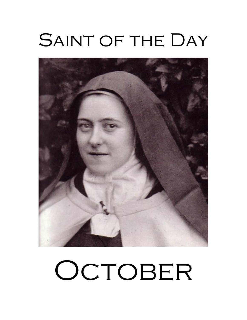# SAINT OF THE DAY



# OCTOBER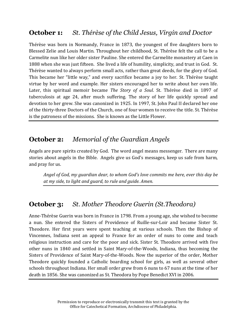# **October 1:** *St. Thérèse of the Child Jesus, Virgin and Doctor*

Thérèse was born in Normandy, France in 1873, the youngest of five daughters born to Blessed Zelie and Louis Martin. Throughout her childhood, St. Thérèse felt the call to be a Carmelite nun like her older sister Pauline. She entered the Carmelite monastery at Caen in 1888 when she was just fifteen. She lived a life of humility, simplicity, and trust in God. St. Thérèse wanted to always perform small acts, rather than great deeds, for the glory of God. This became her "little way," and every sacrifice became a joy to her. St. Thérèse taught virtue by her word and example. Her sisters encouraged her to write about her own life. Later, this spiritual memoir became *The Story of a Soul*. St. Thérèse died in 1897 of tuberculosis at age 24, after much suffering. The story of her life quickly spread and devotion to her grew. She was canonized in 1925. In 1997, St. John Paul II declared her one of the thirty-three Doctors of the Church, one of four women to receive the title. St. Thérèse is the patroness of the missions. She is known as the Little Flower.

# **October 2:** *Memorial of the Guardian Angels*

Angels are pure spirits created by God. The word angel means messenger. There are many stories about angels in the Bible. Angels give us God's messages, keep us safe from harm, and pray for us.

*Angel of God, my guardian dear, to whom God's love commits me here, ever this day be at my side, to light and guard, to rule and guide. Amen.*

# **October 3:** *St. Mother Theodore Guerin (St.Theodora)*

Anne-Thérèse Guerin was born in France in 1798. From a young age, she wished to become a nun. She entered the Sisters of Providence of Ruille-sur-Loir and became Sister St. Theodore. Her first years were spent teaching at various schools. Then the Bishop of Vincennes, Indiana sent an appeal to France for an order of nuns to come and teach religious instruction and care for the poor and sick. Sister St. Theodore arrived with five other nuns in 1840 and settled in Saint Mary-of-the-Woods, Indiana, thus becoming the Sisters of Providence of Saint Mary-of-the-Woods. Now the superior of the order, Mother Theodore quickly founded a Catholic boarding school for girls, as well as several other schools throughout Indiana. Her small order grew from 6 nuns to 67 nuns at the time of her death in 1856. She was canonized as St. Theodora by Pope Benedict XVI in 2006.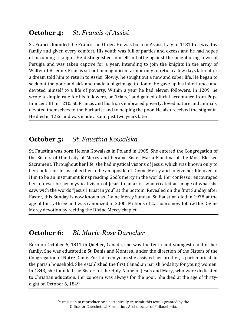# **October 4:** *St. Francis of Assisi*

St. Francis founded the Franciscan Order. He was born in Assisi, Italy in 1181 to a wealthy family and given every comfort. His youth was full of parties and excess and he had hopes of becoming a knight. He distinguished himself in battle against the neighboring town of Perugia and was taken captive for a year. Intending to join the knights in the army of Walter of Brienne, Francis set out in magnificent armor only to return a few days later after a dream told him to return to Assisi. Slowly, he sought out a new and sober life. He began to seek out the poor and sick and made a pilgrimage to Rome. He gave up his inheritance and devoted himself to a life of poverty. Within a year he had eleven followers. In 1209, he wrote a simple rule for his followers, or "friars," and gained official acceptance from Pope Innocent III in 1210. St. Francis and his friars embraced poverty, loved nature and animals, devoted themselves to the Eucharist and to helping the poor. He also received the stigmata. He died in 1226 and was made a saint just two years later.

# **October 5:** *St. Faustina Kowalska*

St. Faustina was born Helena Kowalska in Poland in 1905. She entered the Congregation of the Sisters of Our Lady of Mercy and became Sister Maria Faustina of the Most Blessed Sacrament. Throughout her life, she had mystical visions of Jesus, which was known only to her confessor. Jesus called her to be an apostle of Divine Mercy and to give her life over to Him to be an instrument for spreading God's mercy in the world. Her confessor encouraged her to describe her mystical vision of Jesus to an artist who created an image of what she saw, with the words "Jesus I trust in you" at the bottom. Revealed on the first Sunday after Easter, this Sunday is now known as Divine Mercy Sunday. St. Faustina died in 1938 at the age of thirty-three and was canonized in 2000. Millions of Catholics now follow the Divine Mercy devotion by reciting the Divine Mercy chaplet.

# **October 6:** *Bl. Marie-Rose Durocher*

Born on October 6, 1811 in Quebec, Canada, she was the tenth and youngest child of her family. She was educated in St. Denis and Montreal under the direction of the Sisters of the Congregation of Notre Dame. For thirteen years she assisted her brother, a parish priest, in the parish household. She established the first Canadian parish Sodality for young women. In 1843, she founded the Sisters of the Holy Name of Jesus and Mary, who were dedicated to Christian education. Her concern was always for the poor. She died at the age of thirtyeight on October 6, 1849.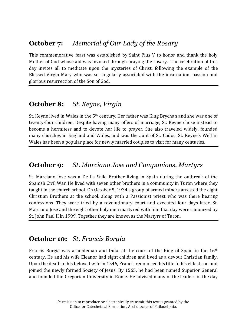#### **October 7:** *Memorial of Our Lady of the Rosary*

This commemorative feast was established by Saint Pius V to honor and thank the holy Mother of God whose aid was invoked through praying the rosary. The celebration of this day invites all to meditate upon the mysteries of Christ, following the example of the Blessed Virgin Mary who was so singularly associated with the incarnation, passion and glorious resurrection of the Son of God.

#### **October 8:** *St. Keyne, Virgin*

St. Keyne lived in Wales in the 5th century. Her father was King Brychan and she was one of twenty-four children. Despite having many offers of marriage, St. Keyne chose instead to become a hermitess and to devote her life to prayer. She also traveled widely, founded many churches in England and Wales, and was the aunt of St. Cadoc. St. Keyne's Well in Wales has been a popular place for newly married couples to visit for many centuries.

#### **October 9:** *St. Marciano Jose and Companions, Martyrs*

St. Marciano Jose was a De La Salle Brother living in Spain during the outbreak of the Spanish Civil War. He lived with seven other brothers in a community in Turon where they taught in the church school. On October 5, 1934 a group of armed miners arrested the eight Christian Brothers at the school, along with a Passionist priest who was there hearing confessions. They were tried by a revolutionary court and executed four days later. St. Marciano Jose and the eight other holy men martyred with him that day were canonized by St. John Paul II in 1999. Together they are known as the Martyrs of Turon.

#### **October 10:** *St. Francis Borgia*

Francis Borgia was a nobleman and Duke at the court of the King of Spain in the 16<sup>th</sup> century. He and his wife Eleanor had eight children and lived as a devout Christian family. Upon the death of his beloved wife in 1546, Francis renounced his title to his eldest son and joined the newly formed Society of Jesus. By 1565, he had been named Superior General and founded the Gregorian University in Rome. He advised many of the leaders of the day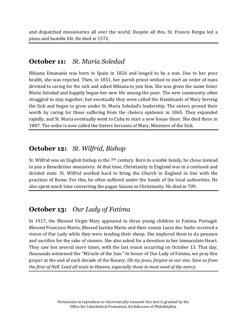and dispatched missionaries all over the world. Despite all this, St. Francis Borgia led a pious and humble life. He died in 1572.

#### **October 11:** *St. Maria Soledad*

Bibiana Emanuela was born in Spain in 1826 and longed to be a nun. Due to her poor health, she was rejected. Then, in 1851, her parish priest wished to start an order of nuns devoted to caring for the sick and asked Bibiana to join him. She was given the name Sister Maria Soledad and happily began her new life among the poor. The new community often struggled to stay together, but eventually they were called the Handmaids of Mary Serving the Sick and began to grow under St. Maria Soledad's leadership. The sisters proved their worth by caring for those suffering from the cholera epidemic in 1865. They expanded rapidly, and St. Maria eventually went to Cuba to start a new house there. She died there in 1887. The order is now called the Sisters Servants of Mary, Ministers of the Sick.

# **October 12:** *St. Wilfrid, Bishop*

St. Wilfrid was an English bishop in the 7th century. Born to a noble family, he chose instead to join a Benedictine monastery. At that time, Christianity in England was in a confused and divided state. St. Wilfrid worked hard to bring the Church in England in line with the practices of Rome. For this, he often suffered under the hands of the local authorities. He also spent much time converting the pagan Saxons to Christianity. He died in 709.

# **October 13:** *Our Lady of Fatima*

In 1917, the Blessed Virgin Mary appeared to three young children in Fatima, Portugal. Blessed Francisco Marto, Blessed Jacinta Marto and their cousin Lucia dos Santo received a vision of Our Lady while they were tending their sheep. She implored them to do penance and sacrifice for the sake of sinners. She also asked for a devotion to her Immaculate Heart. They saw her several more times, with the last vision occurring on October 13. That day, thousands witnessed the "Miracle of the Sun." In honor of Our Lady of Fatima, we pray this prayer at the end of each decade of the Rosary: *Oh my Jesus, forgive us our sins. Save us from the fires of Hell. Lead all souls to Heaven, especially those in most need of thy mercy.*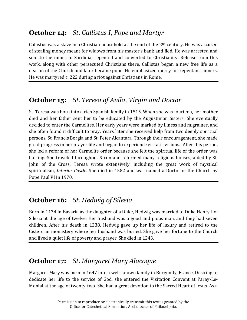# **October 14:** *St. Callistus I, Pope and Martyr*

Callistus was a slave in a Christian household at the end of the  $2<sup>nd</sup>$  century. He was accused of stealing money meant for widows from his master's bank and fled. He was arrested and sent to the mines in Sardinia, repented and converted to Christianity. Release from this work, along with other persecuted Christians there, Callistus began a new free life as a deacon of the Church and later became pope. He emphasized mercy for repentant sinners. He was martyred c. 222 during a riot against Christians in Rome.

# **October 15:** *St. Teresa of Avila, Virgin and Doctor*

St. Teresa was born into a rich Spanish family in 1515. When she was fourteen, her mother died and her father sent her to be educated by the Augustinian Sisters. She eventually decided to enter the Carmelites. Her early years were marked by illness and migraines, and she often found it difficult to pray. Years later she received help from two deeply spiritual persons, St. Francis Borgia and St. Peter Alcantara. Through their encouragement, she made great progress in her prayer life and began to experience ecstatic visions. After this period, she led a reform of her Carmelite order because she felt the spiritual life of the order was hurting. She traveled throughout Spain and reformed many religious houses, aided by St. John of the Cross. Teresa wrote extensively, including the great work of mystical spiritualism, *Interior Castle*. She died in 1582 and was named a Doctor of the Church by Pope Paul VI in 1970.

# **October 16:** *St. Hedwig of Silesia*

Born in 1174 in Bavaria as the daughter of a Duke, Hedwig was married to Duke Henry I of Silesia at the age of twelve. Her husband was a good and pious man, and they had seven children. After his death in 1238, Hedwig gave up her life of luxury and retired to the Cistercian monastery where her husband was buried. She gave her fortune to the Church and lived a quiet life of poverty and prayer. She died in 1243.

# **October 17:** *St. Margaret Mary Alacoque*

Margaret Mary was born in 1647 into a well-known family in Burgundy, France. Desiring to dedicate her life to the service of God, she entered the Visitation Convent at Paray-Le-Monial at the age of twenty-two. She had a great devotion to the Sacred Heart of Jesus. As a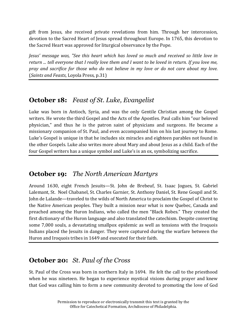gift from Jesus, she received private revelations from him. Through her intercession, devotion to the Sacred Heart of Jesus spread throughout Europe. In 1765, this devotion to the Sacred Heart was approved for liturgical observance by the Pope.

*Jesus' message was, "See this heart which has loved so much and received so little love in return ... tell everyone that I really love them and I want to be loved in return. If you love me, pray and sacrifice for those who do not believe in my love or do not care about my love.* (*Saints and Feasts*, Loyola Press, p.31)

# **October 18:** *Feast of St. Luke, Evangelist*

Luke was born in Antioch, Syria, and was the only Gentile Christian among the Gospel writers. He wrote the third Gospel and the Acts of the Apostles. Paul calls him "our beloved physician," and thus he is the patron saint of physicians and surgeons. He became a missionary companion of St. Paul, and even accompanied him on his last journey to Rome. Luke's Gospel is unique in that he includes six miracles and eighteen parables not found in the other Gospels. Luke also writes more about Mary and about Jesus as a child. Each of the four Gospel writers has a unique symbol and Luke's is an ox, symbolizing sacrifice.

# **October 19:** *The North American Martyrs*

Around 1630, eight French Jesuits—St. John de Brebeuf, St. Isaac Jogues, St. Gabriel Lalemant, St. Noel Chabanel, St. Charles Garnier, St. Anthony Daniel, St. Rene Goupil and St. John de Lalande—traveled to the wilds of North America to proclaim the Gospel of Christ to the Native American peoples. They built a mission near what is now Quebec, Canada and preached among the Huron Indians, who called the men "Black Robes." They created the first dictionary of the Huron language and also translated the catechism. Despite converting some 7,000 souls, a devastating smallpox epidemic as well as tensions with the Iroquois Indians placed the Jesuits in danger. They were captured during the warfare between the Huron and Iroquois tribes in 1649 and executed for their faith.

# **October 20:** *St. Paul of the Cross*

St. Paul of the Cross was born in northern Italy in 1694. He felt the call to the priesthood when he was nineteen. He began to experience mystical visions during prayer and knew that God was calling him to form a new community devoted to promoting the love of God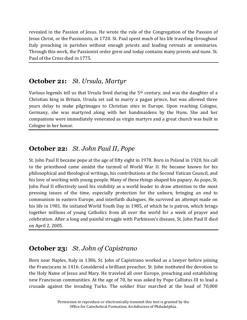revealed in the Passion of Jesus. He wrote the rule of the Congregation of the Passion of Jesus Christ, or the Passionists, in 1720. St. Paul spent much of his life traveling throughout Italy preaching in parishes without enough priests and leading retreats at seminaries. Through this work, the Passionist order grew and today contains many priests and nuns. St. Paul of the Cross died in 1775.

#### **October 21:** *St. Ursula, Martyr*

Various legends tell us that Ursula lived during the  $5<sup>th</sup>$  century, and was the daughter of a Christian king in Britain. Ursula set sail to marry a pagan prince, but was allowed three years delay to make pilgrimages to Christian sites in Europe. Upon reaching Cologne, Germany, she was martyred along with her handmaidens by the Huns. She and her companions were immediately venerated as virgin martyrs and a great church was built in Cologne in her honor.

# **October 22:** *St. John Paul II, Pope*

St. John Paul II became pope at the age of fifty eight in 1978. Born in Poland in 1920, his call to the priesthood came amidst the turmoil of World War II. He became known for his philosophical and theological writings, his contributions at the Second Vatican Council, and his love of working with young people. Many of these things shaped his papacy. As pope, St. John Paul II effectively used his visibility as a world leader to draw attention to the most pressing issues of the time, especially protection for the unborn, bringing an end to communism in eastern Europe, and interfaith dialogues. He survived an attempt made on his life in 1981. He initiated World Youth Day in 1985, of which he is patron, which brings together millions of young Catholics from all over the world for a week of prayer and celebration. After a long and painful struggle with Parkinson's disease, St. John Paul II died on April 2, 2005.

# **October 23:** *St. John of Capistrano*

Born near Naples, Italy in 1386, St. John of Capistrano worked as a lawyer before joining the Franciscans in 1416. Considered a brilliant preacher, St. John instituted the devotion to the Holy Name of Jesus and Mary. He traveled all over Europe, preaching and establishing new Franciscan communities. At the age of 70, he was asked by Pope Callistus III to lead a crusade against the invading Turks. The soldier friar marched at the head of 70,000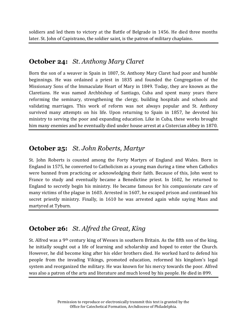soldiers and led them to victory at the Battle of Belgrade in 1456. He died three months later. St. John of Capistrano, the soldier saint, is the patron of military chaplains.

## **October 24:** *St. Anthony Mary Claret*

Born the son of a weaver in Spain in 1807, St. Anthony Mary Claret had poor and humble beginnings. He was ordained a priest in 1835 and founded the Congregation of the Missionary Sons of the Immaculate Heart of Mary in 1849. Today, they are known as the Claretians. He was named Archbishop of Santiago, Cuba and spent many years there reforming the seminary, strengthening the clergy, building hospitals and schools and validating marriages. This work of reform was not always popular and St. Anthony survived many attempts on his life. Upon returning to Spain in 1857, he devoted his ministry to serving the poor and expanding education. Like in Cuba, these works brought him many enemies and he eventually died under house arrest at a Cistercian abbey in 1870.

# **October 25:** *St. John Roberts, Martyr*

St. John Roberts is counted among the Forty Martyrs of England and Wales. Born in England in 1575, he converted to Catholicism as a young man during a time when Catholics were banned from practicing or acknowledging their faith. Because of this, John went to France to study and eventually became a Benedictine priest. In 1602, he returned to England to secretly begin his ministry. He became famous for his compassionate care of many victims of the plague in 1603. Arrested in 1607, he escaped prison and continued his secret priestly ministry. Finally, in 1610 he was arrested again while saying Mass and martyred at Tyburn.

# **October 26:** *St. Alfred the Great, King*

St. Alfred was a 9th century king of Wessex in southern Britain. As the fifth son of the king, he initially sought out a life of learning and scholarship and hoped to enter the Church. However, he did become king after his elder brothers died. He worked hard to defend his people from the invading Vikings, promoted education, reformed his kingdom's legal system and reorganized the military. He was known for his mercy towards the poor. Alfred was also a patron of the arts and literature and much loved by his people. He died in 899.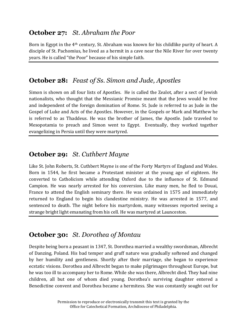# **October 27:** *St. Abraham the Poor*

Born in Egypt in the 4th century, St. Abraham was known for his childlike purity of heart. A disciple of St. Pachomius, he lived as a hermit in a cave near the Nile River for over twenty years. He is called "the Poor" because of his simple faith.

# **October 28:** *Feast of Ss. Simon and Jude, Apostles*

Simon is shown on all four lists of Apostles. He is called the Zealot, after a sect of Jewish nationalists, who thought that the Messianic Promise meant that the Jews would be free and independent of the foreign domination of Rome. St. Jude is referred to as Jude in the Gospel of Luke and Acts of the Apostles. However, in the Gospels or Mark and Matthew he is referred to as Thaddeus. He was the brother of James, the Apostle. Jude traveled to Mesopotamia to preach and Simon went to Egypt. Eventually, they worked together evangelizing in Persia until they were martyred.

# **October 29:** *St. Cuthbert Mayne*

Like St. John Roberts, St. Cuthbert Mayne is one of the Forty Martyrs of England and Wales. Born in 1544, he first became a Protestant minister at the young age of eighteen. He converted to Catholicism while attending Oxford due to the influence of St. Edmund Campion. He was nearly arrested for his conversion. Like many men, he fled to Douai, France to attend the English seminary there. He was ordained in 1575 and immediately returned to England to begin his clandestine ministry. He was arrested in 1577, and sentenced to death. The night before his martyrdom, many witnesses reported seeing a strange bright light emanating from his cell. He was martyred at Launceston.

# **October 30:** *St. Dorothea of Montau*

Despite being born a peasant in 1347, St. Dorothea married a wealthy swordsman, Albrecht of Danzing, Poland. His bad temper and gruff nature was gradually softened and changed by her humility and gentleness. Shortly after their marriage, she began to experience ecstatic visions. Dorothea and Albrecht began to make pilgrimages throughout Europe, but he was too ill to accompany her to Rome. While she was there, Albrecht died. They had nine children, all but one of whom died young. Dorothea's surviving daughter entered a Benedictine convent and Dorothea became a hermitess. She was constantly sought out for